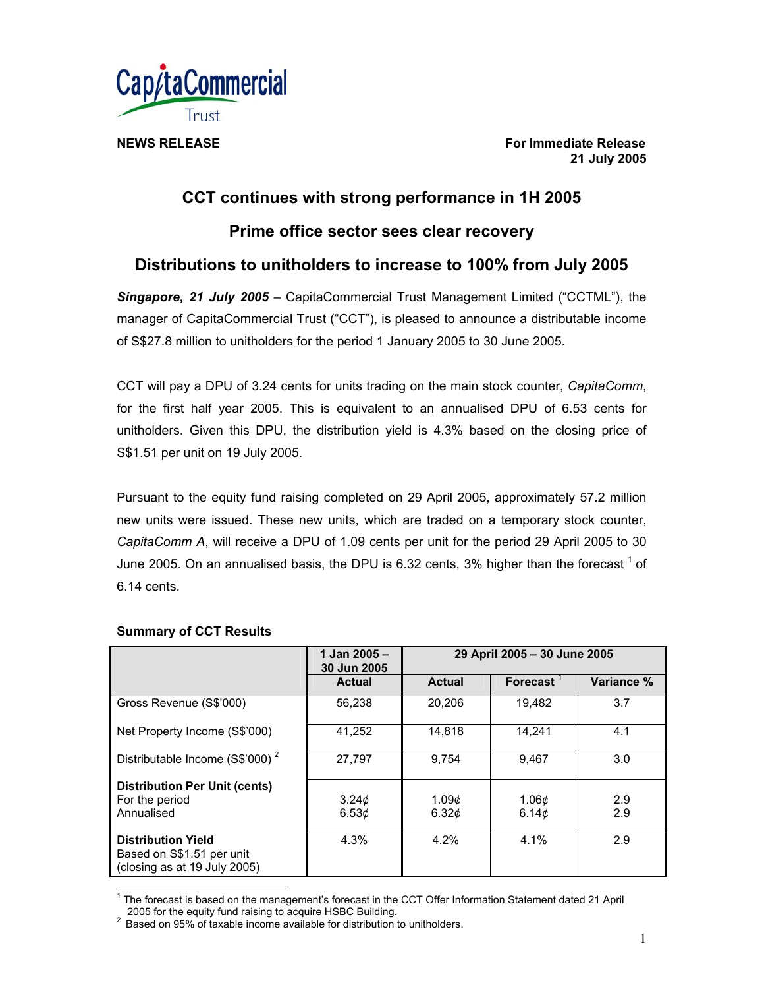

**NEWS RELEASE For Immediate Release For Immediate Release 21 July 2005** 

# **CCT continues with strong performance in 1H 2005**

**Prime office sector sees clear recovery** 

# **Distributions to unitholders to increase to 100% from July 2005**

*Singapore, 21 July 2005* – CapitaCommercial Trust Management Limited ("CCTML"), the manager of CapitaCommercial Trust ("CCT"), is pleased to announce a distributable income of S\$27.8 million to unitholders for the period 1 January 2005 to 30 June 2005.

CCT will pay a DPU of 3.24 cents for units trading on the main stock counter, *CapitaComm*, for the first half year 2005. This is equivalent to an annualised DPU of 6.53 cents for unitholders. Given this DPU, the distribution yield is 4.3% based on the closing price of S\$1.51 per unit on 19 July 2005.

Pursuant to the equity fund raising completed on 29 April 2005, approximately 57.2 million new units were issued. These new units, which are traded on a temporary stock counter, *CapitaComm A*, will receive a DPU of 1.09 cents per unit for the period 29 April 2005 to 30 June 2005. On an annualised basis, the DPU is 6.32 cents, 3% higher than the forecast  $^1$  of 6.14 cents.

|                                                                                        | 1 Jan 2005 -<br>30 Jun 2005 | 29 April 2005 - 30 June 2005 |                   |            |
|----------------------------------------------------------------------------------------|-----------------------------|------------------------------|-------------------|------------|
|                                                                                        | <b>Actual</b>               | <b>Actual</b>                | Forecast $1$      | Variance % |
| Gross Revenue (S\$'000)                                                                | 56,238                      | 20,206                       | 19,482            | 3.7        |
| Net Property Income (S\$'000)                                                          | 41,252                      | 14,818                       | 14.241            | 4.1        |
| Distributable Income (S\$'000) <sup>2</sup>                                            | 27,797                      | 9.754                        | 9.467             | 3.0        |
| <b>Distribution Per Unit (cents)</b>                                                   |                             |                              |                   |            |
| For the period                                                                         | 3.24 <sub>c</sub>           | 1.09¢                        | 1.06 <sub>c</sub> | 2.9        |
| Annualised                                                                             | 6.53 <sub>c</sub>           | 6.32 <sub>c</sub>            | 6.14 $\phi$       | 2.9        |
| <b>Distribution Yield</b><br>Based on S\$1.51 per unit<br>(closing as at 19 July 2005) | 4.3%                        | 4.2%                         | 4.1%              | 2.9        |

## **Summary of CCT Results**

 $\overline{a}$ 

<sup>&</sup>lt;sup>1</sup> The forecast is based on the management's forecast in the CCT Offer Information Statement dated 21 April

<sup>2005</sup> for the equity fund raising to acquire HSBC Building.<br><sup>2</sup> Based on 95% of taxable income available for distribution to unitholders.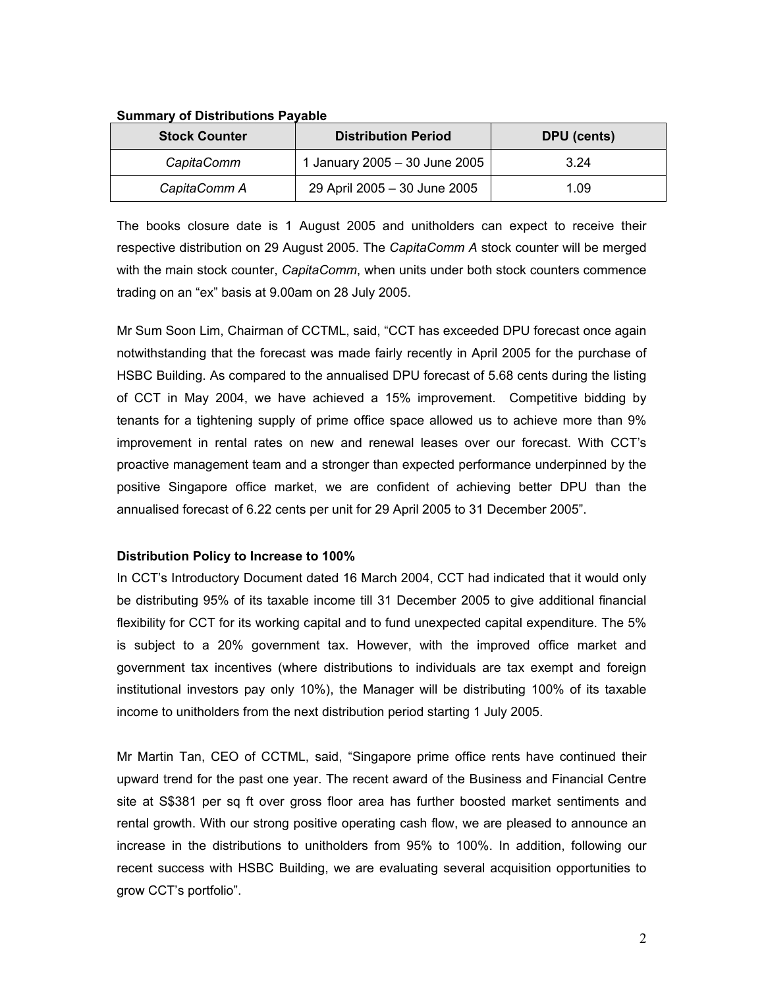| <b>Stock Counter</b> | <b>Distribution Period</b>    | DPU (cents) |  |
|----------------------|-------------------------------|-------------|--|
| CapitaComm           | 1 January 2005 - 30 June 2005 | 3.24        |  |
| CapitaComm A         | 29 April 2005 - 30 June 2005  | 1.09        |  |

#### **Summary of Distributions Payable**

The books closure date is 1 August 2005 and unitholders can expect to receive their respective distribution on 29 August 2005. The *CapitaComm A* stock counter will be merged with the main stock counter, *CapitaComm*, when units under both stock counters commence trading on an "ex" basis at 9.00am on 28 July 2005.

Mr Sum Soon Lim, Chairman of CCTML, said, "CCT has exceeded DPU forecast once again notwithstanding that the forecast was made fairly recently in April 2005 for the purchase of HSBC Building. As compared to the annualised DPU forecast of 5.68 cents during the listing of CCT in May 2004, we have achieved a 15% improvement. Competitive bidding by tenants for a tightening supply of prime office space allowed us to achieve more than 9% improvement in rental rates on new and renewal leases over our forecast. With CCT's proactive management team and a stronger than expected performance underpinned by the positive Singapore office market, we are confident of achieving better DPU than the annualised forecast of 6.22 cents per unit for 29 April 2005 to 31 December 2005".

### **Distribution Policy to Increase to 100%**

In CCT's Introductory Document dated 16 March 2004, CCT had indicated that it would only be distributing 95% of its taxable income till 31 December 2005 to give additional financial flexibility for CCT for its working capital and to fund unexpected capital expenditure. The 5% is subject to a 20% government tax. However, with the improved office market and government tax incentives (where distributions to individuals are tax exempt and foreign institutional investors pay only 10%), the Manager will be distributing 100% of its taxable income to unitholders from the next distribution period starting 1 July 2005.

Mr Martin Tan, CEO of CCTML, said, "Singapore prime office rents have continued their upward trend for the past one year. The recent award of the Business and Financial Centre site at S\$381 per sq ft over gross floor area has further boosted market sentiments and rental growth. With our strong positive operating cash flow, we are pleased to announce an increase in the distributions to unitholders from 95% to 100%. In addition, following our recent success with HSBC Building, we are evaluating several acquisition opportunities to grow CCT's portfolio".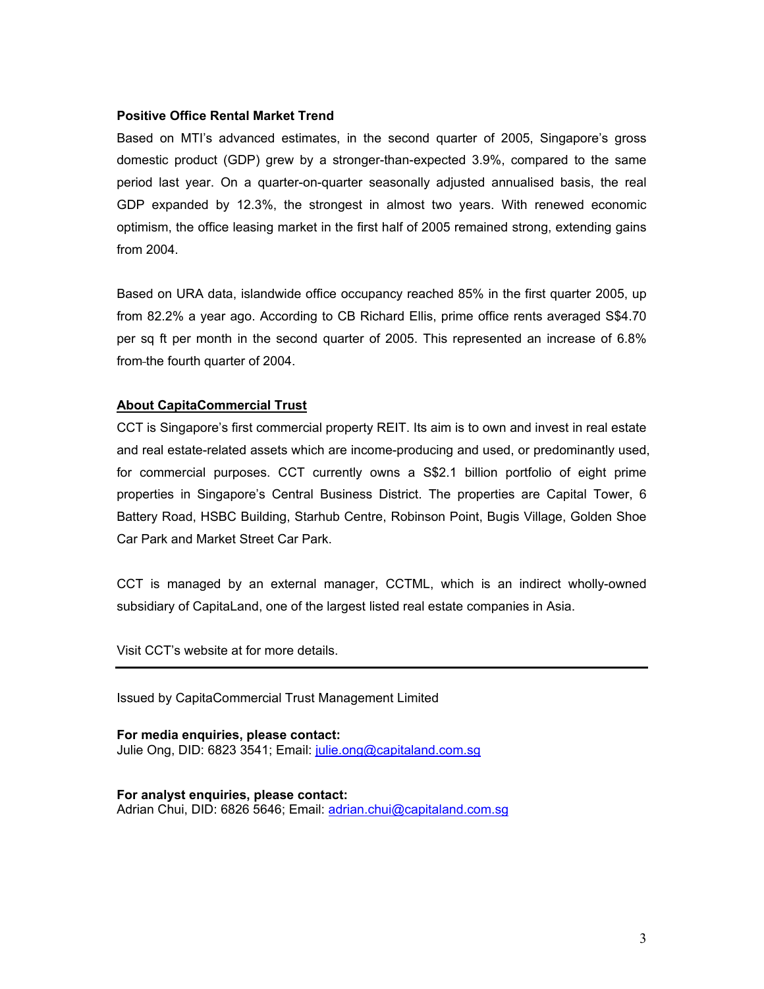#### **Positive Office Rental Market Trend**

Based on MTI's advanced estimates, in the second quarter of 2005, Singapore's gross domestic product (GDP) grew by a stronger-than-expected 3.9%, compared to the same period last year. On a quarter-on-quarter seasonally adjusted annualised basis, the real GDP expanded by 12.3%, the strongest in almost two years. With renewed economic optimism, the office leasing market in the first half of 2005 remained strong, extending gains from 2004.

Based on URA data, islandwide office occupancy reached 85% in the first quarter 2005, up from 82.2% a year ago. According to CB Richard Ellis, prime office rents averaged S\$4.70 per sq ft per month in the second quarter of 2005. This represented an increase of 6.8% from the fourth quarter of 2004.

### **About CapitaCommercial Trust**

CCT is Singapore's first commercial property REIT. Its aim is to own and invest in real estate and real estate-related assets which are income-producing and used, or predominantly used, for commercial purposes. CCT currently owns a S\$2.1 billion portfolio of eight prime properties in Singapore's Central Business District. The properties are Capital Tower, 6 Battery Road, HSBC Building, Starhub Centre, Robinson Point, Bugis Village, Golden Shoe Car Park and Market Street Car Park.

CCT is managed by an external manager, CCTML, which is an indirect wholly-owned subsidiary of CapitaLand, one of the largest listed real estate companies in Asia.

Visit CCT's website at for more details.

Issued by CapitaCommercial Trust Management Limited

**For media enquiries, please contact:**  Julie Ong, DID: 6823 3541; Email: julie.ong@capitaland.com.sg

**For analyst enquiries, please contact:**  Adrian Chui, DID: 6826 5646; Email: adrian.chui@capitaland.com.sg